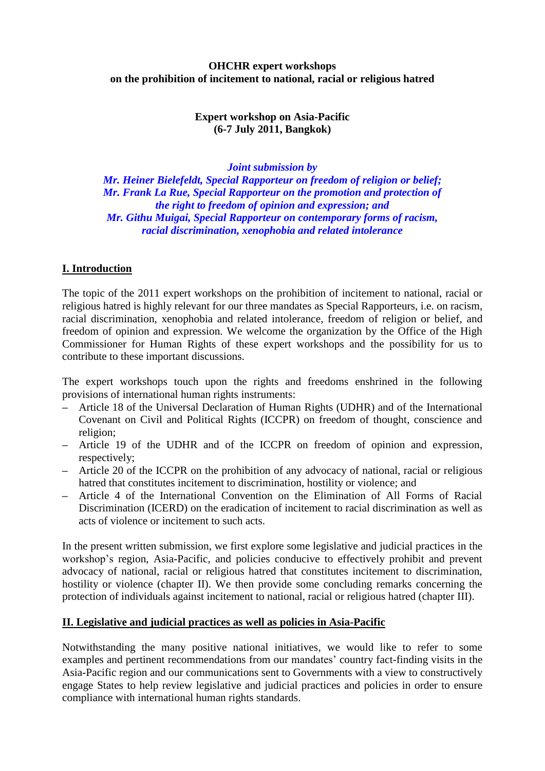## **OHCHR expert workshops on the prohibition of incitement to national, racial or religious hatred**

# **Expert workshop on Asia-Pacific (6-7 July 2011, Bangkok)**

*Joint submission by* 

*Mr. Heiner Bielefeldt, Special Rapporteur on freedom of religion or belief; Mr. Frank La Rue, Special Rapporteur on the promotion and protection of the right to freedom of opinion and expression; and Mr. Githu Muigai, Special Rapporteur on contemporary forms of racism, racial discrimination, xenophobia and related intolerance*

# **I. Introduction**

The topic of the 2011 expert workshops on the prohibition of incitement to national, racial or religious hatred is highly relevant for our three mandates as Special Rapporteurs, i.e. on racism, racial discrimination, xenophobia and related intolerance, freedom of religion or belief, and freedom of opinion and expression. We welcome the organization by the Office of the High Commissioner for Human Rights of these expert workshops and the possibility for us to contribute to these important discussions.

The expert workshops touch upon the rights and freedoms enshrined in the following provisions of international human rights instruments:

- **–** Article 18 of the Universal Declaration of Human Rights (UDHR) and of the International Covenant on Civil and Political Rights (ICCPR) on freedom of thought, conscience and religion;
- **–** Article 19 of the UDHR and of the ICCPR on freedom of opinion and expression, respectively;
- **–** Article 20 of the ICCPR on the prohibition of any advocacy of national, racial or religious hatred that constitutes incitement to discrimination, hostility or violence; and
- **–** Article 4 of the International Convention on the Elimination of All Forms of Racial Discrimination (ICERD) on the eradication of incitement to racial discrimination as well as acts of violence or incitement to such acts.

In the present written submission, we first explore some legislative and judicial practices in the workshop"s region, Asia-Pacific, and policies conducive to effectively prohibit and prevent advocacy of national, racial or religious hatred that constitutes incitement to discrimination, hostility or violence (chapter II). We then provide some concluding remarks concerning the protection of individuals against incitement to national, racial or religious hatred (chapter III).

# **II. Legislative and judicial practices as well as policies in Asia-Pacific**

Notwithstanding the many positive national initiatives, we would like to refer to some examples and pertinent recommendations from our mandates' country fact-finding visits in the Asia-Pacific region and our communications sent to Governments with a view to constructively engage States to help review legislative and judicial practices and policies in order to ensure compliance with international human rights standards.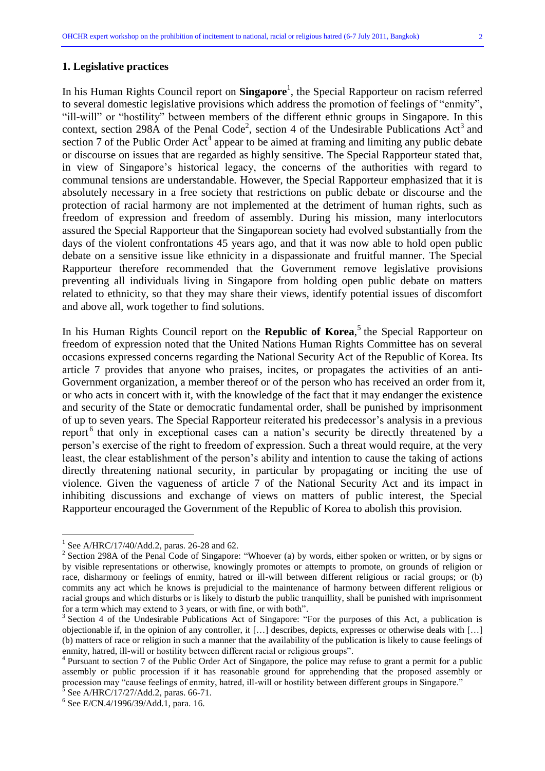#### **1. Legislative practices**

In his Human Rights Council report on **Singapore**<sup>1</sup> , the Special Rapporteur on racism referred to several domestic legislative provisions which address the promotion of feelings of "enmity", "ill-will" or "hostility" between members of the different ethnic groups in Singapore. In this context, section 298A of the Penal Code<sup>2</sup>, section 4 of the Undesirable Publications Act<sup>3</sup> and section 7 of the Public Order  $Act<sup>4</sup>$  appear to be aimed at framing and limiting any public debate or discourse on issues that are regarded as highly sensitive. The Special Rapporteur stated that, in view of Singapore's historical legacy, the concerns of the authorities with regard to communal tensions are understandable. However, the Special Rapporteur emphasized that it is absolutely necessary in a free society that restrictions on public debate or discourse and the protection of racial harmony are not implemented at the detriment of human rights, such as freedom of expression and freedom of assembly. During his mission, many interlocutors assured the Special Rapporteur that the Singaporean society had evolved substantially from the days of the violent confrontations 45 years ago, and that it was now able to hold open public debate on a sensitive issue like ethnicity in a dispassionate and fruitful manner. The Special Rapporteur therefore recommended that the Government remove legislative provisions preventing all individuals living in Singapore from holding open public debate on matters related to ethnicity, so that they may share their views, identify potential issues of discomfort and above all, work together to find solutions.

In his Human Rights Council report on the **Republic of Korea**,<sup>5</sup> the Special Rapporteur on freedom of expression noted that the United Nations Human Rights Committee has on several occasions expressed concerns regarding the National Security Act of the Republic of Korea. Its article 7 provides that anyone who praises, incites, or propagates the activities of an anti-Government organization, a member thereof or of the person who has received an order from it, or who acts in concert with it, with the knowledge of the fact that it may endanger the existence and security of the State or democratic fundamental order, shall be punished by imprisonment of up to seven years. The Special Rapporteur reiterated his predecessor"s analysis in a previous report<sup>6</sup> that only in exceptional cases can a nation's security be directly threatened by a person"s exercise of the right to freedom of expression. Such a threat would require, at the very least, the clear establishment of the person"s ability and intention to cause the taking of actions directly threatening national security, in particular by propagating or inciting the use of violence. Given the vagueness of article 7 of the National Security Act and its impact in inhibiting discussions and exchange of views on matters of public interest, the Special Rapporteur encouraged the Government of the Republic of Korea to abolish this provision.

<sup>&</sup>lt;sup>1</sup> See A/HRC/17/40/Add.2, paras. 26-28 and 62.

<sup>&</sup>lt;sup>2</sup> Section 298A of the Penal Code of Singapore: "Whoever (a) by words, either spoken or written, or by signs or by visible representations or otherwise, knowingly promotes or attempts to promote, on grounds of religion or race, disharmony or feelings of enmity, hatred or ill-will between different religious or racial groups; or (b) commits any act which he knows is prejudicial to the maintenance of harmony between different religious or racial groups and which disturbs or is likely to disturb the public tranquillity, shall be punished with imprisonment for a term which may extend to 3 years, or with fine, or with both".

<sup>&</sup>lt;sup>3</sup> Section 4 of the Undesirable Publications Act of Singapore: "For the purposes of this Act, a publication is objectionable if, in the opinion of any controller, it […] describes, depicts, expresses or otherwise deals with […] (b) matters of race or religion in such a manner that the availability of the publication is likely to cause feelings of enmity, hatred, ill-will or hostility between different racial or religious groups".

<sup>&</sup>lt;sup>4</sup> Pursuant to section 7 of the Public Order Act of Singapore, the police may refuse to grant a permit for a public assembly or public procession if it has reasonable ground for apprehending that the proposed assembly or procession may "cause feelings of enmity, hatred, ill-will or hostility between different groups in Singapore."

<sup>5</sup> See A/HRC/17/27/Add.2, paras. 66-71.

<sup>6</sup> See E/CN.4/1996/39/Add.1, para. 16.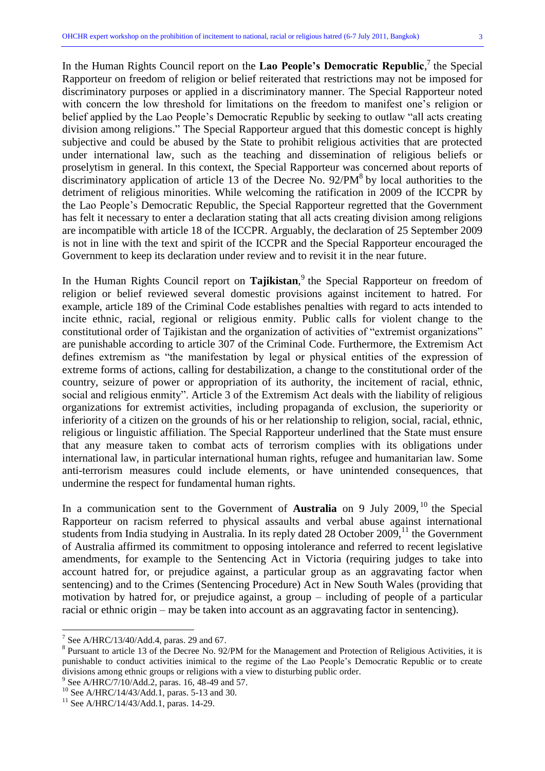In the Human Rights Council report on the Lao People's Democratic Republic,<sup>7</sup> the Special Rapporteur on freedom of religion or belief reiterated that restrictions may not be imposed for discriminatory purposes or applied in a discriminatory manner. The Special Rapporteur noted with concern the low threshold for limitations on the freedom to manifest one"s religion or belief applied by the Lao People"s Democratic Republic by seeking to outlaw "all acts creating division among religions." The Special Rapporteur argued that this domestic concept is highly subjective and could be abused by the State to prohibit religious activities that are protected under international law, such as the teaching and dissemination of religious beliefs or proselytism in general. In this context, the Special Rapporteur was concerned about reports of discriminatory application of article 13 of the Decree No.  $92/PM<sup>8</sup>$  by local authorities to the detriment of religious minorities. While welcoming the ratification in 2009 of the ICCPR by the Lao People"s Democratic Republic, the Special Rapporteur regretted that the Government has felt it necessary to enter a declaration stating that all acts creating division among religions are incompatible with article 18 of the ICCPR. Arguably, the declaration of 25 September 2009 is not in line with the text and spirit of the ICCPR and the Special Rapporteur encouraged the Government to keep its declaration under review and to revisit it in the near future.

In the Human Rights Council report on Tajikistan,<sup>9</sup> the Special Rapporteur on freedom of religion or belief reviewed several domestic provisions against incitement to hatred. For example, article 189 of the Criminal Code establishes penalties with regard to acts intended to incite ethnic, racial, regional or religious enmity. Public calls for violent change to the constitutional order of Tajikistan and the organization of activities of "extremist organizations" are punishable according to article 307 of the Criminal Code. Furthermore, the Extremism Act defines extremism as "the manifestation by legal or physical entities of the expression of extreme forms of actions, calling for destabilization, a change to the constitutional order of the country, seizure of power or appropriation of its authority, the incitement of racial, ethnic, social and religious enmity". Article 3 of the Extremism Act deals with the liability of religious organizations for extremist activities, including propaganda of exclusion, the superiority or inferiority of a citizen on the grounds of his or her relationship to religion, social, racial, ethnic, religious or linguistic affiliation. The Special Rapporteur underlined that the State must ensure that any measure taken to combat acts of terrorism complies with its obligations under international law, in particular international human rights, refugee and humanitarian law. Some anti-terrorism measures could include elements, or have unintended consequences, that undermine the respect for fundamental human rights.

In a communication sent to the Government of **Australia** on 9 July 2009, <sup>10</sup> the Special Rapporteur on racism referred to physical assaults and verbal abuse against international students from India studying in Australia. In its reply dated 28 October 2009,<sup>11</sup> the Government of Australia affirmed its commitment to opposing intolerance and referred to recent legislative amendments, for example to the Sentencing Act in Victoria (requiring judges to take into account hatred for, or prejudice against, a particular group as an aggravating factor when sentencing) and to the Crimes (Sentencing Procedure) Act in New South Wales (providing that motivation by hatred for, or prejudice against, a group – including of people of a particular racial or ethnic origin – may be taken into account as an aggravating factor in sentencing).

 $^7$  See A/HRC/13/40/Add.4, paras. 29 and 67.

<sup>&</sup>lt;sup>8</sup> Pursuant to article 13 of the Decree No. 92/PM for the Management and Protection of Religious Activities, it is punishable to conduct activities inimical to the regime of the Lao People"s Democratic Republic or to create divisions among ethnic groups or religions with a view to disturbing public order.

<sup>9</sup> See A/HRC/7/10/Add.2, paras. 16, 48-49 and 57.

 $10$  See A/HRC/14/43/Add.1, paras. 5-13 and 30.

<sup>&</sup>lt;sup>11</sup> See A/HRC/14/43/Add.1, paras. 14-29.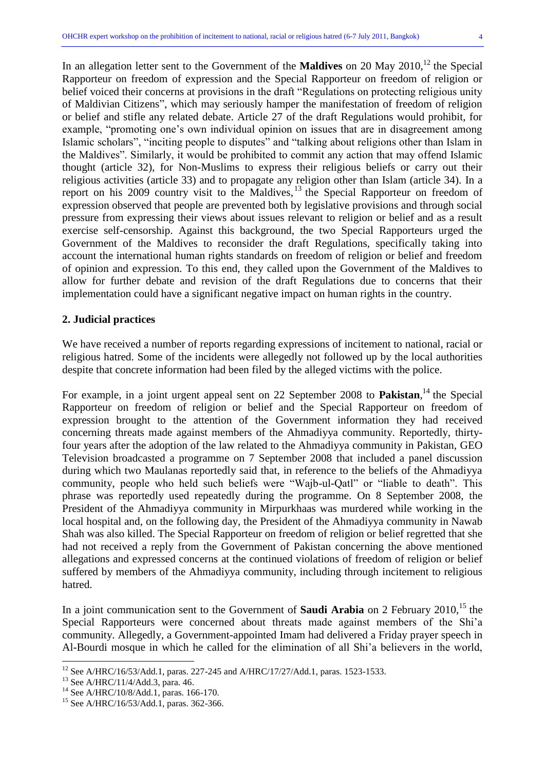In an allegation letter sent to the Government of the **Maldives** on 20 May 2010, <sup>12</sup> the Special Rapporteur on freedom of expression and the Special Rapporteur on freedom of religion or belief voiced their concerns at provisions in the draft "Regulations on protecting religious unity of Maldivian Citizens", which may seriously hamper the manifestation of freedom of religion or belief and stifle any related debate. Article 27 of the draft Regulations would prohibit, for example, "promoting one's own individual opinion on issues that are in disagreement among Islamic scholars", "inciting people to disputes" and "talking about religions other than Islam in the Maldives". Similarly, it would be prohibited to commit any action that may offend Islamic thought (article 32), for Non-Muslims to express their religious beliefs or carry out their religious activities (article 33) and to propagate any religion other than Islam (article 34). In a report on his 2009 country visit to the Maldives,<sup>13</sup> the Special Rapporteur on freedom of expression observed that people are prevented both by legislative provisions and through social pressure from expressing their views about issues relevant to religion or belief and as a result exercise self-censorship. Against this background, the two Special Rapporteurs urged the Government of the Maldives to reconsider the draft Regulations, specifically taking into account the international human rights standards on freedom of religion or belief and freedom of opinion and expression. To this end, they called upon the Government of the Maldives to allow for further debate and revision of the draft Regulations due to concerns that their implementation could have a significant negative impact on human rights in the country.

#### **2. Judicial practices**

We have received a number of reports regarding expressions of incitement to national, racial or religious hatred. Some of the incidents were allegedly not followed up by the local authorities despite that concrete information had been filed by the alleged victims with the police.

For example, in a joint urgent appeal sent on 22 September 2008 to **Pakistan**,<sup>14</sup> the Special Rapporteur on freedom of religion or belief and the Special Rapporteur on freedom of expression brought to the attention of the Government information they had received concerning threats made against members of the Ahmadiyya community. Reportedly, thirtyfour years after the adoption of the law related to the Ahmadiyya community in Pakistan, GEO Television broadcasted a programme on 7 September 2008 that included a panel discussion during which two Maulanas reportedly said that, in reference to the beliefs of the Ahmadiyya community, people who held such beliefs were "Wajb-ul-Qatl" or "liable to death". This phrase was reportedly used repeatedly during the programme. On 8 September 2008, the President of the Ahmadiyya community in Mirpurkhaas was murdered while working in the local hospital and, on the following day, the President of the Ahmadiyya community in Nawab Shah was also killed. The Special Rapporteur on freedom of religion or belief regretted that she had not received a reply from the Government of Pakistan concerning the above mentioned allegations and expressed concerns at the continued violations of freedom of religion or belief suffered by members of the Ahmadiyya community, including through incitement to religious hatred.

In a joint communication sent to the Government of **Saudi Arabia** on 2 February 2010, <sup>15</sup> the Special Rapporteurs were concerned about threats made against members of the Shi"a community. Allegedly, a Government-appointed Imam had delivered a Friday prayer speech in Al-Bourdi mosque in which he called for the elimination of all Shi"a believers in the world,

<sup>&</sup>lt;sup>12</sup> See A/HRC/16/53/Add.1, paras. 227-245 and A/HRC/17/27/Add.1, paras. 1523-1533.

<sup>&</sup>lt;sup>13</sup> See A/HRC/11/4/Add.3, para. 46.

<sup>14</sup> See A/HRC/10/8/Add.1, paras. 166-170.

<sup>&</sup>lt;sup>15</sup> See A/HRC/16/53/Add.1, paras. 362-366.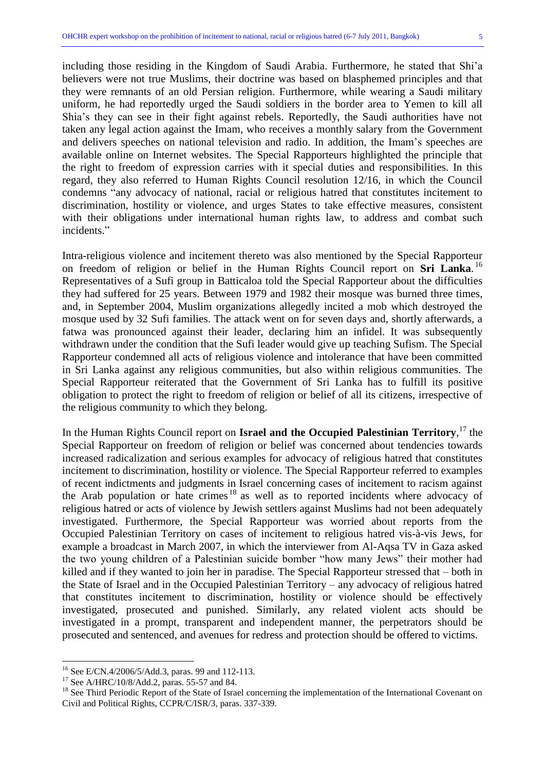including those residing in the Kingdom of Saudi Arabia. Furthermore, he stated that Shi"a believers were not true Muslims, their doctrine was based on blasphemed principles and that they were remnants of an old Persian religion. Furthermore, while wearing a Saudi military uniform, he had reportedly urged the Saudi soldiers in the border area to Yemen to kill all Shia"s they can see in their fight against rebels. Reportedly, the Saudi authorities have not taken any legal action against the Imam, who receives a monthly salary from the Government and delivers speeches on national television and radio. In addition, the Imam"s speeches are available online on Internet websites. The Special Rapporteurs highlighted the principle that the right to freedom of expression carries with it special duties and responsibilities. In this regard, they also referred to Human Rights Council resolution 12/16, in which the Council condemns "any advocacy of national, racial or religious hatred that constitutes incitement to discrimination, hostility or violence, and urges States to take effective measures, consistent with their obligations under international human rights law, to address and combat such incidents."

Intra-religious violence and incitement thereto was also mentioned by the Special Rapporteur on freedom of religion or belief in the Human Rights Council report on **Sri Lanka**. 16 Representatives of a Sufi group in Batticaloa told the Special Rapporteur about the difficulties they had suffered for 25 years. Between 1979 and 1982 their mosque was burned three times, and, in September 2004, Muslim organizations allegedly incited a mob which destroyed the mosque used by 32 Sufi families. The attack went on for seven days and, shortly afterwards, a fatwa was pronounced against their leader, declaring him an infidel. It was subsequently withdrawn under the condition that the Sufi leader would give up teaching Sufism. The Special Rapporteur condemned all acts of religious violence and intolerance that have been committed in Sri Lanka against any religious communities, but also within religious communities. The Special Rapporteur reiterated that the Government of Sri Lanka has to fulfill its positive obligation to protect the right to freedom of religion or belief of all its citizens, irrespective of the religious community to which they belong.

In the Human Rights Council report on **Israel and the Occupied Palestinian Territory**, <sup>17</sup> the Special Rapporteur on freedom of religion or belief was concerned about tendencies towards increased radicalization and serious examples for advocacy of religious hatred that constitutes incitement to discrimination, hostility or violence. The Special Rapporteur referred to examples of recent indictments and judgments in Israel concerning cases of incitement to racism against the Arab population or hate crimes <sup>18</sup> as well as to reported incidents where advocacy of religious hatred or acts of violence by Jewish settlers against Muslims had not been adequately investigated. Furthermore, the Special Rapporteur was worried about reports from the Occupied Palestinian Territory on cases of incitement to religious hatred vis-à-vis Jews, for example a broadcast in March 2007, in which the interviewer from Al-Aqsa TV in Gaza asked the two young children of a Palestinian suicide bomber "how many Jews" their mother had killed and if they wanted to join her in paradise. The Special Rapporteur stressed that – both in the State of Israel and in the Occupied Palestinian Territory – any advocacy of religious hatred that constitutes incitement to discrimination, hostility or violence should be effectively investigated, prosecuted and punished. Similarly, any related violent acts should be investigated in a prompt, transparent and independent manner, the perpetrators should be prosecuted and sentenced, and avenues for redress and protection should be offered to victims.

 $^{16}$  See E/CN.4/2006/5/Add.3, paras. 99 and 112-113.

 $17$  See A/HRC/10/8/Add.2, paras. 55-57 and 84.

<sup>&</sup>lt;sup>18</sup> See Third Periodic Report of the State of Israel concerning the implementation of the International Covenant on Civil and Political Rights, CCPR/C/ISR/3, paras. 337-339.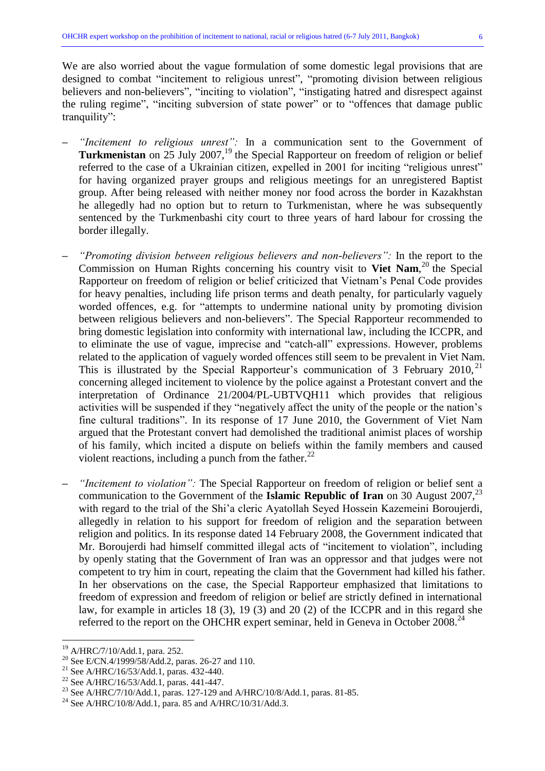We are also worried about the vague formulation of some domestic legal provisions that are designed to combat "incitement to religious unrest", "promoting division between religious believers and non-believers", "inciting to violation", "instigating hatred and disrespect against the ruling regime", "inciting subversion of state power" or to "offences that damage public tranquility":

- **–** *"Incitement to religious unrest":* In a communication sent to the Government of Turkmenistan on 25 July 2007,<sup>19</sup> the Special Rapporteur on freedom of religion or belief referred to the case of a Ukrainian citizen, expelled in 2001 for inciting "religious unrest" for having organized prayer groups and religious meetings for an unregistered Baptist group. After being released with neither money nor food across the border in Kazakhstan he allegedly had no option but to return to Turkmenistan, where he was subsequently sentenced by the Turkmenbashi city court to three years of hard labour for crossing the border illegally.
- **–** *"Promoting division between religious believers and non-believers":* In the report to the Commission on Human Rights concerning his country visit to **Viet Nam**, <sup>20</sup> the Special Rapporteur on freedom of religion or belief criticized that Vietnam"s Penal Code provides for heavy penalties, including life prison terms and death penalty, for particularly vaguely worded offences, e.g. for "attempts to undermine national unity by promoting division between religious believers and non-believers". The Special Rapporteur recommended to bring domestic legislation into conformity with international law, including the ICCPR, and to eliminate the use of vague, imprecise and "catch-all" expressions. However, problems related to the application of vaguely worded offences still seem to be prevalent in Viet Nam. This is illustrated by the Special Rapporteur's communication of 3 February 2010,<sup>21</sup> concerning alleged incitement to violence by the police against a Protestant convert and the interpretation of Ordinance 21/2004/PL-UBTVQH11 which provides that religious activities will be suspended if they "negatively affect the unity of the people or the nation"s fine cultural traditions". In its response of 17 June 2010, the Government of Viet Nam argued that the Protestant convert had demolished the traditional animist places of worship of his family, which incited a dispute on beliefs within the family members and caused violent reactions, including a punch from the father. $^{22}$
- **–** *"Incitement to violation":* The Special Rapporteur on freedom of religion or belief sent a communication to the Government of the **Islamic Republic of Iran** on 30 August 2007,<sup>23</sup> with regard to the trial of the Shi"a cleric Ayatollah Seyed Hossein Kazemeini Boroujerdi, allegedly in relation to his support for freedom of religion and the separation between religion and politics. In its response dated 14 February 2008, the Government indicated that Mr. Boroujerdi had himself committed illegal acts of "incitement to violation", including by openly stating that the Government of Iran was an oppressor and that judges were not competent to try him in court, repeating the claim that the Government had killed his father. In her observations on the case, the Special Rapporteur emphasized that limitations to freedom of expression and freedom of religion or belief are strictly defined in international law, for example in articles 18 (3), 19 (3) and 20 (2) of the ICCPR and in this regard she referred to the report on the OHCHR expert seminar, held in Geneva in October 2008.<sup>24</sup>

<sup>&</sup>lt;sup>19</sup> A/HRC/7/10/Add.1, para. 252.

 $^{20}$  See E/CN.4/1999/58/Add.2, paras. 26-27 and 110.

<sup>&</sup>lt;sup>21</sup> See A/HRC/16/53/Add.1, paras. 432-440.

<sup>22</sup> See A/HRC/16/53/Add.1, paras. 441-447.

<sup>&</sup>lt;sup>23</sup> See A/HRC/7/10/Add.1, paras. 127-129 and A/HRC/10/8/Add.1, paras. 81-85.

<sup>&</sup>lt;sup>24</sup> See A/HRC/10/8/Add.1, para. 85 and A/HRC/10/31/Add.3.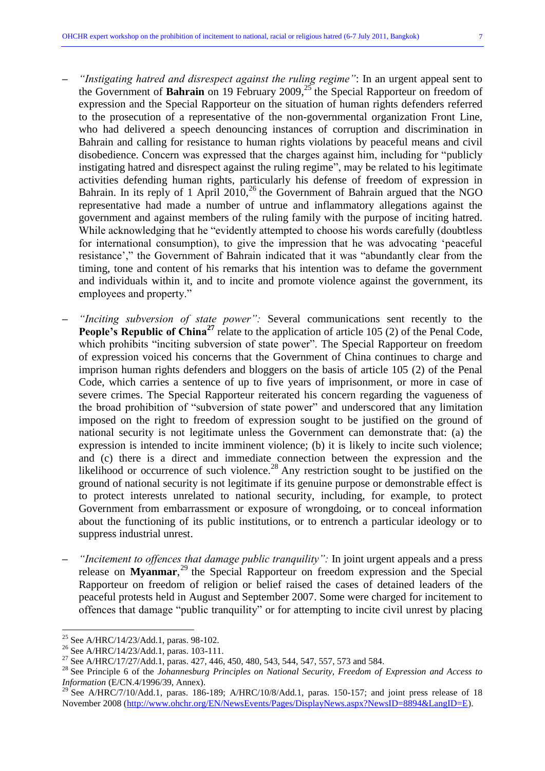- **–** *"Instigating hatred and disrespect against the ruling regime"*: In an urgent appeal sent to the Government of **Bahrain** on 19 February 2009,<sup>25</sup> the Special Rapporteur on freedom of expression and the Special Rapporteur on the situation of human rights defenders referred to the prosecution of a representative of the non-governmental organization Front Line, who had delivered a speech denouncing instances of corruption and discrimination in Bahrain and calling for resistance to human rights violations by peaceful means and civil disobedience. Concern was expressed that the charges against him, including for "publicly instigating hatred and disrespect against the ruling regime", may be related to his legitimate activities defending human rights, particularly his defense of freedom of expression in Bahrain. In its reply of 1 April 2010,<sup>26</sup> the Government of Bahrain argued that the NGO representative had made a number of untrue and inflammatory allegations against the government and against members of the ruling family with the purpose of inciting hatred. While acknowledging that he "evidently attempted to choose his words carefully (doubtless for international consumption), to give the impression that he was advocating "peaceful resistance'," the Government of Bahrain indicated that it was "abundantly clear from the timing, tone and content of his remarks that his intention was to defame the government and individuals within it, and to incite and promote violence against the government, its employees and property."
- **–** *"Inciting subversion of state power":* Several communications sent recently to the **People's Republic of China<sup>27</sup>** relate to the application of article 105 (2) of the Penal Code, which prohibits "inciting subversion of state power". The Special Rapporteur on freedom of expression voiced his concerns that the Government of China continues to charge and imprison human rights defenders and bloggers on the basis of article 105 (2) of the Penal Code, which carries a sentence of up to five years of imprisonment, or more in case of severe crimes. The Special Rapporteur reiterated his concern regarding the vagueness of the broad prohibition of "subversion of state power" and underscored that any limitation imposed on the right to freedom of expression sought to be justified on the ground of national security is not legitimate unless the Government can demonstrate that: (a) the expression is intended to incite imminent violence; (b) it is likely to incite such violence; and (c) there is a direct and immediate connection between the expression and the likelihood or occurrence of such violence.<sup>28</sup> Any restriction sought to be justified on the ground of national security is not legitimate if its genuine purpose or demonstrable effect is to protect interests unrelated to national security, including, for example, to protect Government from embarrassment or exposure of wrongdoing, or to conceal information about the functioning of its public institutions, or to entrench a particular ideology or to suppress industrial unrest.
- **–** *"Incitement to offences that damage public tranquility":* In joint urgent appeals and a press release on **Myanmar**, <sup>29</sup> the Special Rapporteur on freedom expression and the Special Rapporteur on freedom of religion or belief raised the cases of detained leaders of the peaceful protests held in August and September 2007. Some were charged for incitement to offences that damage "public tranquility" or for attempting to incite civil unrest by placing

<sup>25</sup> See A/HRC/14/23/Add.1, paras. 98-102.

<sup>&</sup>lt;sup>26</sup> See A/HRC/14/23/Add.1, paras. 103-111.

<sup>&</sup>lt;sup>27</sup> See A/HRC/17/27/Add.1, paras. 427, 446, 450, 480, 543, 544, 547, 557, 573 and 584.

<sup>28</sup> See Principle 6 of the *Johannesburg Principles on National Security, Freedom of Expression and Access to Information* (E/CN.4/1996/39, Annex).

<sup>&</sup>lt;sup>29</sup> See A/HRC/7/10/Add.1, paras. 186-189; A/HRC/10/8/Add.1, paras. 150-157; and joint press release of 18 November 2008 [\(http://www.ohchr.org/EN/NewsEvents/Pages/DisplayNews.aspx?NewsID=8894&LangID=E\)](http://www.ohchr.org/EN/NewsEvents/Pages/DisplayNews.aspx?NewsID=8894&LangID=E).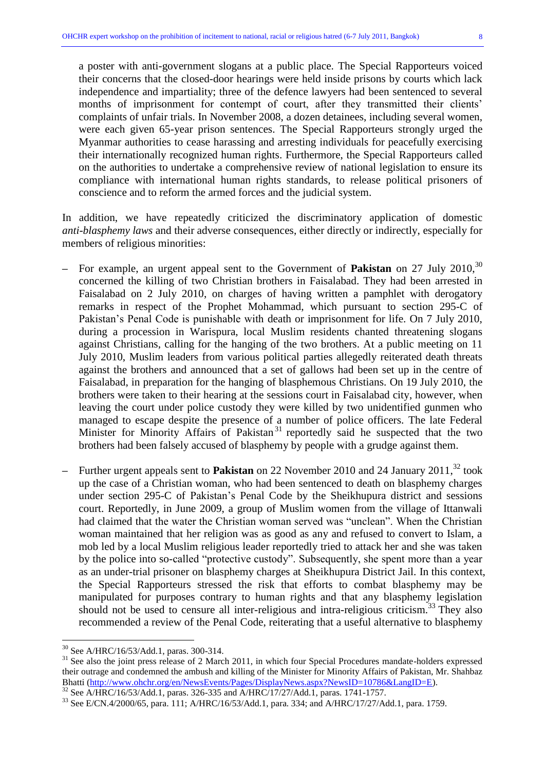a poster with anti-government slogans at a public place. The Special Rapporteurs voiced their concerns that the closed-door hearings were held inside prisons by courts which lack independence and impartiality; three of the defence lawyers had been sentenced to several months of imprisonment for contempt of court, after they transmitted their clients' complaints of unfair trials. In November 2008, a dozen detainees, including several women, were each given 65-year prison sentences. The Special Rapporteurs strongly urged the Myanmar authorities to cease harassing and arresting individuals for peacefully exercising their internationally recognized human rights. Furthermore, the Special Rapporteurs called on the authorities to undertake a comprehensive review of national legislation to ensure its compliance with international human rights standards, to release political prisoners of conscience and to reform the armed forces and the judicial system.

In addition, we have repeatedly criticized the discriminatory application of domestic *anti-blasphemy laws* and their adverse consequences, either directly or indirectly, especially for members of religious minorities:

- **–** For example, an urgent appeal sent to the Government of **Pakistan** on 27 July 2010, 30 concerned the killing of two Christian brothers in Faisalabad. They had been arrested in Faisalabad on 2 July 2010, on charges of having written a pamphlet with derogatory remarks in respect of the Prophet Mohammad, which pursuant to section 295-C of Pakistan"s Penal Code is punishable with death or imprisonment for life. On 7 July 2010, during a procession in Warispura, local Muslim residents chanted threatening slogans against Christians, calling for the hanging of the two brothers. At a public meeting on 11 July 2010, Muslim leaders from various political parties allegedly reiterated death threats against the brothers and announced that a set of gallows had been set up in the centre of Faisalabad, in preparation for the hanging of blasphemous Christians. On 19 July 2010, the brothers were taken to their hearing at the sessions court in Faisalabad city, however, when leaving the court under police custody they were killed by two unidentified gunmen who managed to escape despite the presence of a number of police officers. The late Federal Minister for Minority Affairs of Pakistan<sup>31</sup> reportedly said he suspected that the two brothers had been falsely accused of blasphemy by people with a grudge against them.
- **–** Further urgent appeals sent to **Pakistan** on 22 November 2010 and 24 January 2011, <sup>32</sup> took up the case of a Christian woman, who had been sentenced to death on blasphemy charges under section 295-C of Pakistan"s Penal Code by the Sheikhupura district and sessions court. Reportedly, in June 2009, a group of Muslim women from the village of Ittanwali had claimed that the water the Christian woman served was "unclean". When the Christian woman maintained that her religion was as good as any and refused to convert to Islam, a mob led by a local Muslim religious leader reportedly tried to attack her and she was taken by the police into so-called "protective custody". Subsequently, she spent more than a year as an under-trial prisoner on blasphemy charges at Sheikhupura District Jail. In this context, the Special Rapporteurs stressed the risk that efforts to combat blasphemy may be manipulated for purposes contrary to human rights and that any blasphemy legislation should not be used to censure all inter-religious and intra-religious criticism.<sup>33</sup> They also recommended a review of the Penal Code, reiterating that a useful alternative to blasphemy

 $\overline{a}$ 

<sup>32</sup> See A/HRC/16/53/Add.1, paras. 326-335 and A/HRC/17/27/Add.1, paras. 1741-1757.

 $30$  See A/HRC/16/53/Add.1, paras. 300-314.

<sup>&</sup>lt;sup>31</sup> See also the joint press release of 2 March 2011, in which four Special Procedures mandate-holders expressed their outrage and condemned the ambush and killing of the Minister for Minority Affairs of Pakistan, Mr. Shahbaz Bhatti [\(http://www.ohchr.org/en/NewsEvents/Pages/DisplayNews.aspx?NewsID=10786&LangID=E\)](http://www.ohchr.org/en/NewsEvents/Pages/DisplayNews.aspx?NewsID=10786&LangID=E).

<sup>33</sup> See E/CN.4/2000/65, para. 111; A/HRC/16/53/Add.1, para. 334; and A/HRC/17/27/Add.1, para. 1759.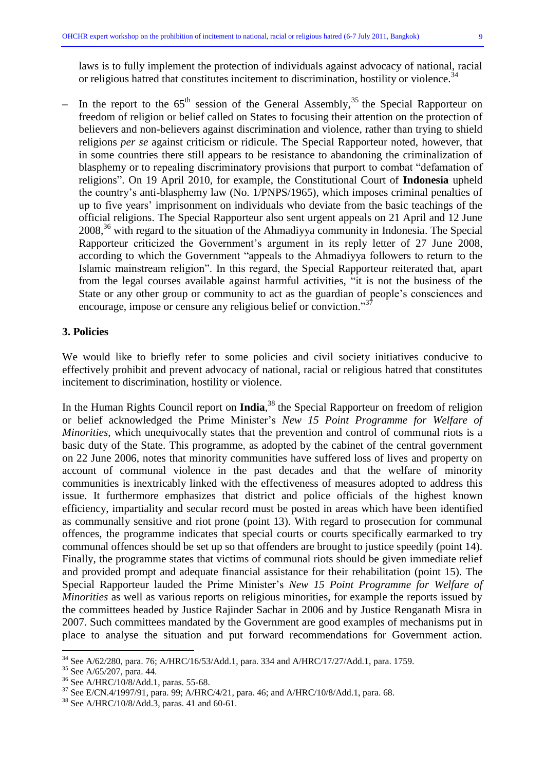laws is to fully implement the protection of individuals against advocacy of national, racial or religious hatred that constitutes incitement to discrimination, hostility or violence.<sup>34</sup>

– In the report to the  $65<sup>th</sup>$  session of the General Assembly,<sup>35</sup> the Special Rapporteur on freedom of religion or belief called on States to focusing their attention on the protection of believers and non-believers against discrimination and violence, rather than trying to shield religions *per se* against criticism or ridicule. The Special Rapporteur noted, however, that in some countries there still appears to be resistance to abandoning the criminalization of blasphemy or to repealing discriminatory provisions that purport to combat "defamation of religions". On 19 April 2010, for example, the Constitutional Court of **Indonesia** upheld the country"s anti-blasphemy law (No. 1/PNPS/1965), which imposes criminal penalties of up to five years" imprisonment on individuals who deviate from the basic teachings of the official religions. The Special Rapporteur also sent urgent appeals on 21 April and 12 June 2008, <sup>36</sup> with regard to the situation of the Ahmadiyya community in Indonesia. The Special Rapporteur criticized the Government's argument in its reply letter of 27 June 2008, according to which the Government "appeals to the Ahmadiyya followers to return to the Islamic mainstream religion". In this regard, the Special Rapporteur reiterated that, apart from the legal courses available against harmful activities, "it is not the business of the State or any other group or community to act as the guardian of people"s consciences and encourage, impose or censure any religious belief or conviction."<sup>37</sup>

#### **3. Policies**

We would like to briefly refer to some policies and civil society initiatives conducive to effectively prohibit and prevent advocacy of national, racial or religious hatred that constitutes incitement to discrimination, hostility or violence.

In the Human Rights Council report on **India**, <sup>38</sup> the Special Rapporteur on freedom of religion or belief acknowledged the Prime Minister"s *New 15 Point Programme for Welfare of Minorities*, which unequivocally states that the prevention and control of communal riots is a basic duty of the State. This programme, as adopted by the cabinet of the central government on 22 June 2006, notes that minority communities have suffered loss of lives and property on account of communal violence in the past decades and that the welfare of minority communities is inextricably linked with the effectiveness of measures adopted to address this issue. It furthermore emphasizes that district and police officials of the highest known efficiency, impartiality and secular record must be posted in areas which have been identified as communally sensitive and riot prone (point 13). With regard to prosecution for communal offences, the programme indicates that special courts or courts specifically earmarked to try communal offences should be set up so that offenders are brought to justice speedily (point 14). Finally, the programme states that victims of communal riots should be given immediate relief and provided prompt and adequate financial assistance for their rehabilitation (point 15). The Special Rapporteur lauded the Prime Minister's *New 15 Point Programme for Welfare of Minorities* as well as various reports on religious minorities, for example the reports issued by the committees headed by Justice Rajinder Sachar in 2006 and by Justice Renganath Misra in 2007. Such committees mandated by the Government are good examples of mechanisms put in place to analyse the situation and put forward recommendations for Government action.

<sup>&</sup>lt;sup>34</sup> See A/62/280, para. 76; A/HRC/16/53/Add.1, para. 334 and A/HRC/17/27/Add.1, para. 1759.

<sup>35</sup> See A/65/207, para. 44.

<sup>36</sup> See A/HRC/10/8/Add.1, paras. 55-68.

<sup>37</sup> See E/CN.4/1997/91, para. 99; A/HRC/4/21, para. 46; and A/HRC/10/8/Add.1, para. 68.

<sup>38</sup> See A/HRC/10/8/Add.3, paras. 41 and 60-61.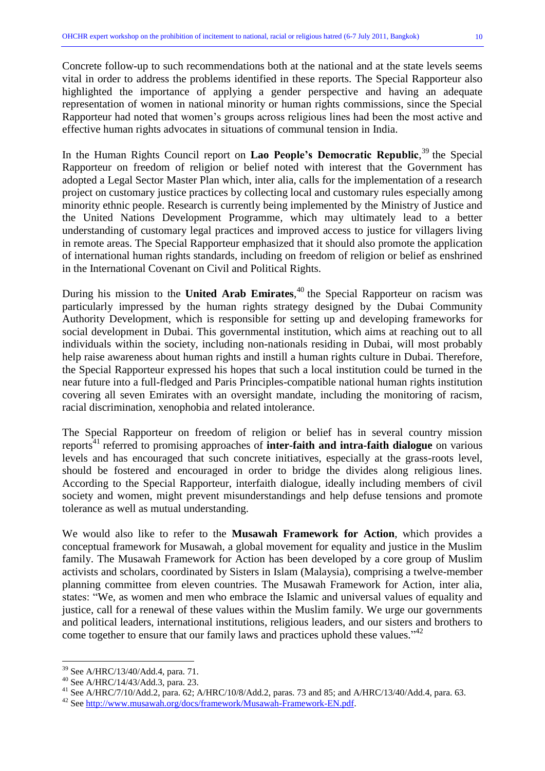Concrete follow-up to such recommendations both at the national and at the state levels seems vital in order to address the problems identified in these reports. The Special Rapporteur also highlighted the importance of applying a gender perspective and having an adequate representation of women in national minority or human rights commissions, since the Special Rapporteur had noted that women"s groups across religious lines had been the most active and effective human rights advocates in situations of communal tension in India.

In the Human Rights Council report on **Lao People's Democratic Republic**, <sup>39</sup> the Special Rapporteur on freedom of religion or belief noted with interest that the Government has adopted a Legal Sector Master Plan which, inter alia, calls for the implementation of a research project on customary justice practices by collecting local and customary rules especially among minority ethnic people. Research is currently being implemented by the Ministry of Justice and the United Nations Development Programme, which may ultimately lead to a better understanding of customary legal practices and improved access to justice for villagers living in remote areas. The Special Rapporteur emphasized that it should also promote the application of international human rights standards, including on freedom of religion or belief as enshrined in the International Covenant on Civil and Political Rights.

During his mission to the **United Arab Emirates**, <sup>40</sup> the Special Rapporteur on racism was particularly impressed by the human rights strategy designed by the Dubai Community Authority Development, which is responsible for setting up and developing frameworks for social development in Dubai. This governmental institution, which aims at reaching out to all individuals within the society, including non-nationals residing in Dubai, will most probably help raise awareness about human rights and instill a human rights culture in Dubai. Therefore, the Special Rapporteur expressed his hopes that such a local institution could be turned in the near future into a full-fledged and Paris Principles-compatible national human rights institution covering all seven Emirates with an oversight mandate, including the monitoring of racism, racial discrimination, xenophobia and related intolerance.

The Special Rapporteur on freedom of religion or belief has in several country mission reports<sup>41</sup> referred to promising approaches of **inter-faith and intra-faith dialogue** on various levels and has encouraged that such concrete initiatives, especially at the grass-roots level, should be fostered and encouraged in order to bridge the divides along religious lines. According to the Special Rapporteur, interfaith dialogue, ideally including members of civil society and women, might prevent misunderstandings and help defuse tensions and promote tolerance as well as mutual understanding.

We would also like to refer to the **Musawah Framework for Action**, which provides a conceptual framework for Musawah, a global movement for equality and justice in the Muslim family. The Musawah Framework for Action has been developed by a core group of Muslim activists and scholars, coordinated by Sisters in Islam (Malaysia), comprising a twelve-member planning committee from eleven countries. The Musawah Framework for Action, inter alia, states: "We, as women and men who embrace the Islamic and universal values of equality and justice, call for a renewal of these values within the Muslim family. We urge our governments and political leaders, international institutions, religious leaders, and our sisters and brothers to come together to ensure that our family laws and practices uphold these values."<sup>42</sup>

<sup>39</sup> See A/HRC/13/40/Add.4, para. 71.

<sup>40</sup> See A/HRC/14/43/Add.3, para. 23.

<sup>41</sup> See A/HRC/7/10/Add.2, para. 62; A/HRC/10/8/Add.2, paras. 73 and 85; and A/HRC/13/40/Add.4, para. 63.

<sup>42</sup> See [http://www.musawah.org/docs/framework/Musawah-Framework-EN.pdf.](http://www.musawah.org/docs/framework/Musawah-Framework-EN.pdf)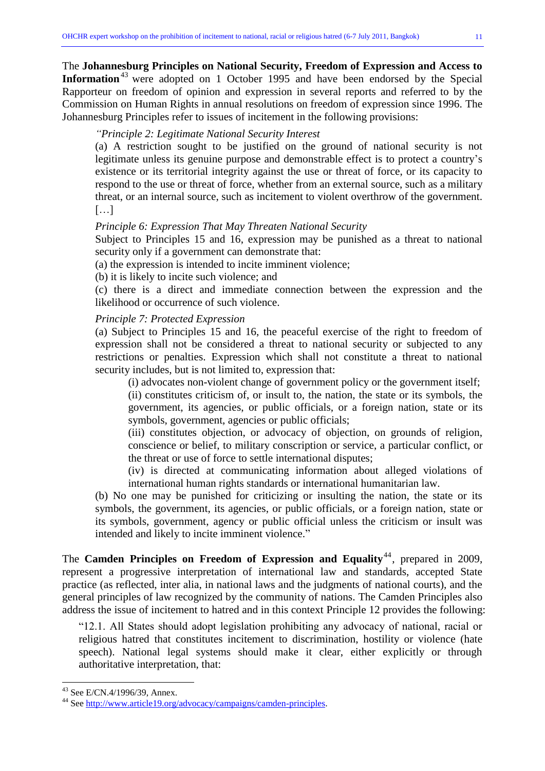Johannesburg Principles refer to issues of incitement in the following provisions:

# *"Principle 2: Legitimate National Security Interest*

(a) A restriction sought to be justified on the ground of national security is not legitimate unless its genuine purpose and demonstrable effect is to protect a country"s existence or its territorial integrity against the use or threat of force, or its capacity to respond to the use or threat of force, whether from an external source, such as a military threat, or an internal source, such as incitement to violent overthrow of the government.  $[...]$ 

Commission on Human Rights in annual resolutions on freedom of expression since 1996. The

## *Principle 6: Expression That May Threaten National Security*

Subject to Principles 15 and 16, expression may be punished as a threat to national security only if a government can demonstrate that:

(a) the expression is intended to incite imminent violence;

(b) it is likely to incite such violence; and

(c) there is a direct and immediate connection between the expression and the likelihood or occurrence of such violence.

## *Principle 7: Protected Expression*

(a) Subject to Principles 15 and 16, the peaceful exercise of the right to freedom of expression shall not be considered a threat to national security or subjected to any restrictions or penalties. Expression which shall not constitute a threat to national security includes, but is not limited to, expression that:

(i) advocates non-violent change of government policy or the government itself;

(ii) constitutes criticism of, or insult to, the nation, the state or its symbols, the government, its agencies, or public officials, or a foreign nation, state or its symbols, government, agencies or public officials;

(iii) constitutes objection, or advocacy of objection, on grounds of religion, conscience or belief, to military conscription or service, a particular conflict, or the threat or use of force to settle international disputes;

(iv) is directed at communicating information about alleged violations of international human rights standards or international humanitarian law.

(b) No one may be punished for criticizing or insulting the nation, the state or its symbols, the government, its agencies, or public officials, or a foreign nation, state or its symbols, government, agency or public official unless the criticism or insult was intended and likely to incite imminent violence."

The **Camden Principles on Freedom of Expression and Equality<sup>44</sup>, prepared in 2009,** represent a progressive interpretation of international law and standards, accepted State practice (as reflected, inter alia, in national laws and the judgments of national courts), and the general principles of law recognized by the community of nations. The Camden Principles also address the issue of incitement to hatred and in this context Principle 12 provides the following:

"12.1. All States should adopt legislation prohibiting any advocacy of national, racial or religious hatred that constitutes incitement to discrimination, hostility or violence (hate speech). National legal systems should make it clear, either explicitly or through authoritative interpretation, that:

<sup>43</sup> See E/CN.4/1996/39, Annex.

<sup>44</sup> See [http://www.article19.org/advocacy/campaigns/camden-principles.](http://www.article19.org/advocacy/campaigns/camden-principles)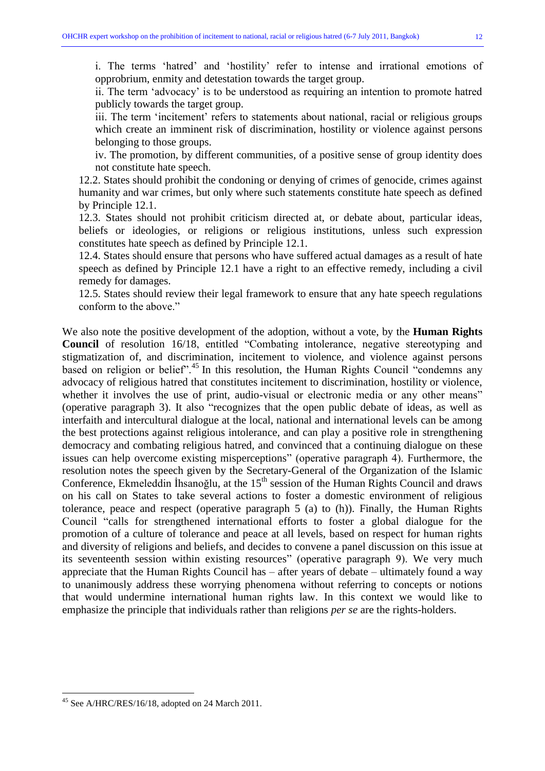i. The terms 'hatred' and 'hostility' refer to intense and irrational emotions of opprobrium, enmity and detestation towards the target group.

ii. The term "advocacy" is to be understood as requiring an intention to promote hatred publicly towards the target group.

iii. The term 'incitement' refers to statements about national, racial or religious groups which create an imminent risk of discrimination, hostility or violence against persons belonging to those groups.

iv. The promotion, by different communities, of a positive sense of group identity does not constitute hate speech.

12.2. States should prohibit the condoning or denying of crimes of genocide, crimes against humanity and war crimes, but only where such statements constitute hate speech as defined by Principle 12.1.

12.3. States should not prohibit criticism directed at, or debate about, particular ideas, beliefs or ideologies, or religions or religious institutions, unless such expression constitutes hate speech as defined by Principle 12.1.

12.4. States should ensure that persons who have suffered actual damages as a result of hate speech as defined by Principle 12.1 have a right to an effective remedy, including a civil remedy for damages.

12.5. States should review their legal framework to ensure that any hate speech regulations conform to the above."

We also note the positive development of the adoption, without a vote, by the **Human Rights Council** of resolution 16/18, entitled "Combating intolerance, negative stereotyping and stigmatization of, and discrimination, incitement to violence, and violence against persons based on religion or belief".<sup>45</sup> In this resolution, the Human Rights Council "condemns any advocacy of religious hatred that constitutes incitement to discrimination, hostility or violence, whether it involves the use of print, audio-visual or electronic media or any other means" (operative paragraph 3). It also "recognizes that the open public debate of ideas, as well as interfaith and intercultural dialogue at the local, national and international levels can be among the best protections against religious intolerance, and can play a positive role in strengthening democracy and combating religious hatred, and convinced that a continuing dialogue on these issues can help overcome existing misperceptions" (operative paragraph 4). Furthermore, the resolution notes the speech given by the Secretary-General of the Organization of the Islamic Conference, Ekmeleddin İhsanoğlu, at the 15<sup>th</sup> session of the Human Rights Council and draws on his call on States to take several actions to foster a domestic environment of religious tolerance, peace and respect (operative paragraph 5 (a) to (h)). Finally, the Human Rights Council "calls for strengthened international efforts to foster a global dialogue for the promotion of a culture of tolerance and peace at all levels, based on respect for human rights and diversity of religions and beliefs, and decides to convene a panel discussion on this issue at its seventeenth session within existing resources" (operative paragraph 9). We very much appreciate that the Human Rights Council has – after years of debate – ultimately found a way to unanimously address these worrying phenomena without referring to concepts or notions that would undermine international human rights law. In this context we would like to emphasize the principle that individuals rather than religions *per se* are the rights-holders.

<sup>45</sup> See A/HRC/RES/16/18, adopted on 24 March 2011.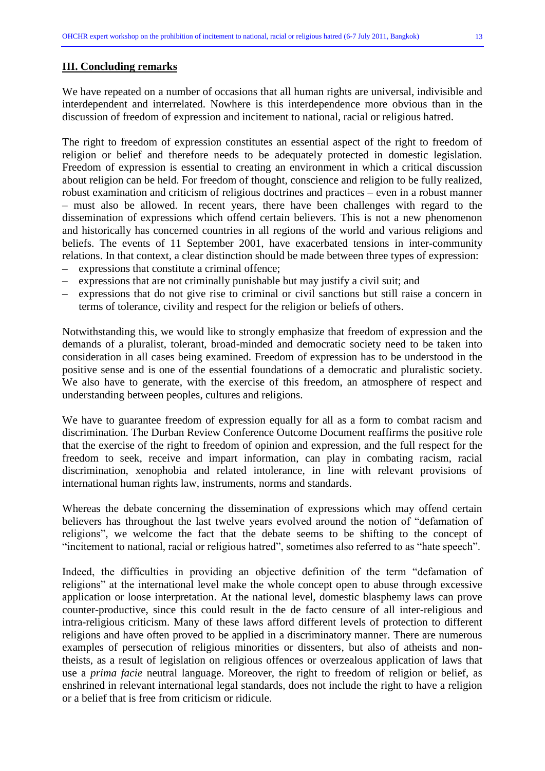### **III. Concluding remarks**

We have repeated on a number of occasions that all human rights are universal, indivisible and interdependent and interrelated. Nowhere is this interdependence more obvious than in the discussion of freedom of expression and incitement to national, racial or religious hatred.

The right to freedom of expression constitutes an essential aspect of the right to freedom of religion or belief and therefore needs to be adequately protected in domestic legislation. Freedom of expression is essential to creating an environment in which a critical discussion about religion can be held. For freedom of thought, conscience and religion to be fully realized, robust examination and criticism of religious doctrines and practices – even in a robust manner – must also be allowed. In recent years, there have been challenges with regard to the dissemination of expressions which offend certain believers. This is not a new phenomenon and historically has concerned countries in all regions of the world and various religions and beliefs. The events of 11 September 2001, have exacerbated tensions in inter-community relations. In that context, a clear distinction should be made between three types of expression:

- **–** expressions that constitute a criminal offence;
- **–** expressions that are not criminally punishable but may justify a civil suit; and
- **–** expressions that do not give rise to criminal or civil sanctions but still raise a concern in terms of tolerance, civility and respect for the religion or beliefs of others.

Notwithstanding this, we would like to strongly emphasize that freedom of expression and the demands of a pluralist, tolerant, broad-minded and democratic society need to be taken into consideration in all cases being examined. Freedom of expression has to be understood in the positive sense and is one of the essential foundations of a democratic and pluralistic society. We also have to generate, with the exercise of this freedom, an atmosphere of respect and understanding between peoples, cultures and religions.

We have to guarantee freedom of expression equally for all as a form to combat racism and discrimination. The Durban Review Conference Outcome Document reaffirms the positive role that the exercise of the right to freedom of opinion and expression, and the full respect for the freedom to seek, receive and impart information, can play in combating racism, racial discrimination, xenophobia and related intolerance, in line with relevant provisions of international human rights law, instruments, norms and standards.

Whereas the debate concerning the dissemination of expressions which may offend certain believers has throughout the last twelve years evolved around the notion of "defamation of religions", we welcome the fact that the debate seems to be shifting to the concept of "incitement to national, racial or religious hatred", sometimes also referred to as "hate speech".

Indeed, the difficulties in providing an objective definition of the term "defamation of religions" at the international level make the whole concept open to abuse through excessive application or loose interpretation. At the national level, domestic blasphemy laws can prove counter-productive, since this could result in the de facto censure of all inter-religious and intra-religious criticism. Many of these laws afford different levels of protection to different religions and have often proved to be applied in a discriminatory manner. There are numerous examples of persecution of religious minorities or dissenters, but also of atheists and nontheists, as a result of legislation on religious offences or overzealous application of laws that use a *prima facie* neutral language. Moreover, the right to freedom of religion or belief, as enshrined in relevant international legal standards, does not include the right to have a religion or a belief that is free from criticism or ridicule.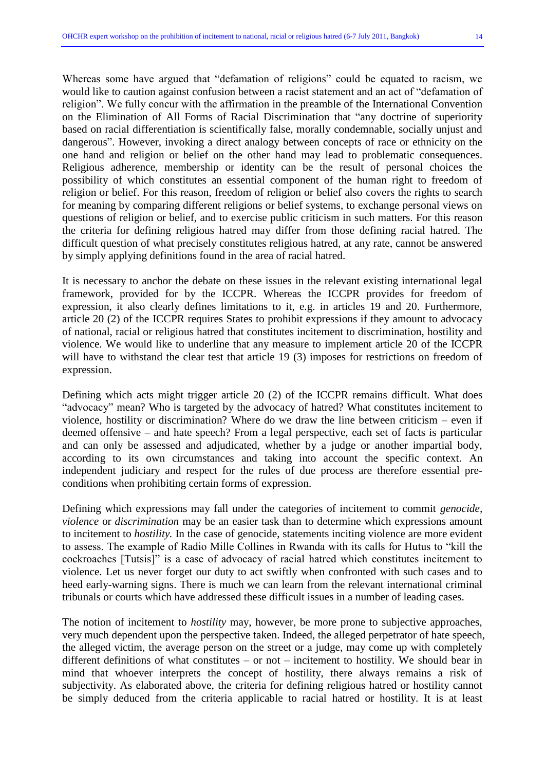Whereas some have argued that "defamation of religions" could be equated to racism, we would like to caution against confusion between a racist statement and an act of "defamation of religion". We fully concur with the affirmation in the preamble of the International Convention on the Elimination of All Forms of Racial Discrimination that "any doctrine of superiority based on racial differentiation is scientifically false, morally condemnable, socially unjust and dangerous". However, invoking a direct analogy between concepts of race or ethnicity on the one hand and religion or belief on the other hand may lead to problematic consequences. Religious adherence, membership or identity can be the result of personal choices the possibility of which constitutes an essential component of the human right to freedom of religion or belief. For this reason, freedom of religion or belief also covers the rights to search for meaning by comparing different religions or belief systems, to exchange personal views on questions of religion or belief, and to exercise public criticism in such matters. For this reason the criteria for defining religious hatred may differ from those defining racial hatred. The difficult question of what precisely constitutes religious hatred, at any rate, cannot be answered by simply applying definitions found in the area of racial hatred.

It is necessary to anchor the debate on these issues in the relevant existing international legal framework, provided for by the ICCPR. Whereas the ICCPR provides for freedom of expression, it also clearly defines limitations to it, e.g. in articles 19 and 20. Furthermore, article 20 (2) of the ICCPR requires States to prohibit expressions if they amount to advocacy of national, racial or religious hatred that constitutes incitement to discrimination, hostility and violence. We would like to underline that any measure to implement article 20 of the ICCPR will have to withstand the clear test that article 19 (3) imposes for restrictions on freedom of expression.

Defining which acts might trigger article 20 (2) of the ICCPR remains difficult. What does "advocacy" mean? Who is targeted by the advocacy of hatred? What constitutes incitement to violence, hostility or discrimination? Where do we draw the line between criticism – even if deemed offensive – and hate speech? From a legal perspective, each set of facts is particular and can only be assessed and adjudicated, whether by a judge or another impartial body, according to its own circumstances and taking into account the specific context. An independent judiciary and respect for the rules of due process are therefore essential preconditions when prohibiting certain forms of expression.

Defining which expressions may fall under the categories of incitement to commit *genocide, violence* or *discrimination* may be an easier task than to determine which expressions amount to incitement to *hostility.* In the case of genocide, statements inciting violence are more evident to assess. The example of Radio Mille Collines in Rwanda with its calls for Hutus to "kill the cockroaches [Tutsis]" is a case of advocacy of racial hatred which constitutes incitement to violence. Let us never forget our duty to act swiftly when confronted with such cases and to heed early-warning signs. There is much we can learn from the relevant international criminal tribunals or courts which have addressed these difficult issues in a number of leading cases.

The notion of incitement to *hostility* may, however, be more prone to subjective approaches, very much dependent upon the perspective taken. Indeed, the alleged perpetrator of hate speech, the alleged victim, the average person on the street or a judge, may come up with completely different definitions of what constitutes – or not – incitement to hostility. We should bear in mind that whoever interprets the concept of hostility, there always remains a risk of subjectivity. As elaborated above, the criteria for defining religious hatred or hostility cannot be simply deduced from the criteria applicable to racial hatred or hostility. It is at least